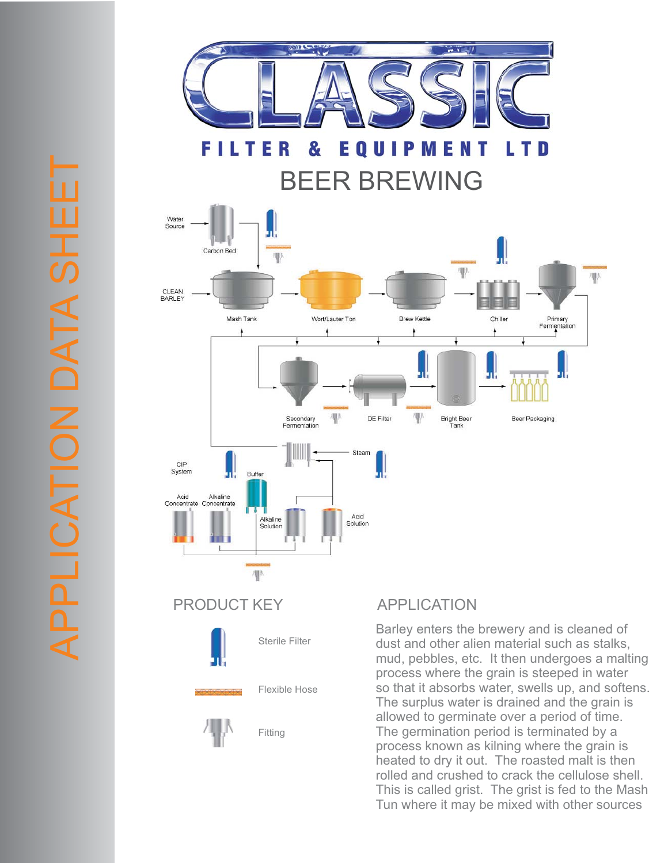

**FILT** Ε EQUIP N R & **ME** LTD T BEER BREWING



dust and other alien material such as stalks, mud, pebbles, etc. It then undergoes a malting process where the grain is steeped in water so that it absorbs water, swells up, and softens. The surplus water is drained and the grain is allowed to germinate over a period of time. The germination period is terminated by a process known as kilning where the grain is heated to dry it out. The roasted malt is then rolled and crushed to crack the cellulose shell. This is called grist. The grist is fed to the Mash Tun where it may be mixed with other sources